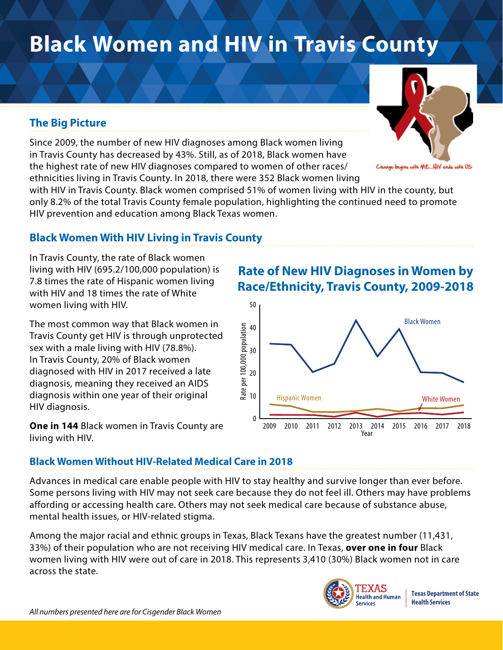# **Black Women and HIV in Travis County**

#### **The Big Picture**

Since 2009, the number of new HIV diagnoses among Black women living in Travis County has decreased by 43%. Still, as of 2018, Black women have the highest rate of new HIV diagnoses compared to women of other races/ ethnicities living in Travis County. In 2018, there were 352 Black women living

with HIV in Travis County. Black women comprised 51% of women living with HIV in the county, but only 8.2% of the total Travis County female population, highlighting the continued need to promote HIV prevention and education among Black Texas women.

#### **Black Women With HIV Living in Travis County**

In Travis County, the rate of Black women living with HIV (695.2/100,000 population) is 7.8 times the rate of Hispanic women living with HIV and 18 times the rate of White women living with HIV.

The most common way that Black women in Travis County get HIV is through unprotected sex with a male living with HIV (78.8%). In Travis County, 20% of Black women diagnosed with HIV in 2017 received a late diagnosis, meaning they received an AIDS diagnosis within one year of their original HIV diagnosis.

**One in 144** Black women in Travis County are living with HIV.

## **Race/Ethnicity, Travis County, 2009-2018** 50



**Rate of New HIV Diagnoses in Women by** 

#### **Black Women Without HIV-Related Medical Care in 2018**

Advances in medical care enable people with HIV to stay healthy and survive longer than ever before. Some persons living with HIV may not seek care because they do not feel ill. Others may have problems affording or accessing health care. Others may not seek medical care because of substance abuse, mental health issues, or HIV-related stigma.

Among the major racial and ethnic groups in Texas, Black Texans have the greatest number (11,431, 33%) of their population who are not receiving HIV medical care. In Texas, **over one in four** Black women living with HIV were out of care in 2018. This represents 3,410 (30%) Black women not in care across the state.



**Texas Department of State Health Services**



as with ME…HIV eads with US